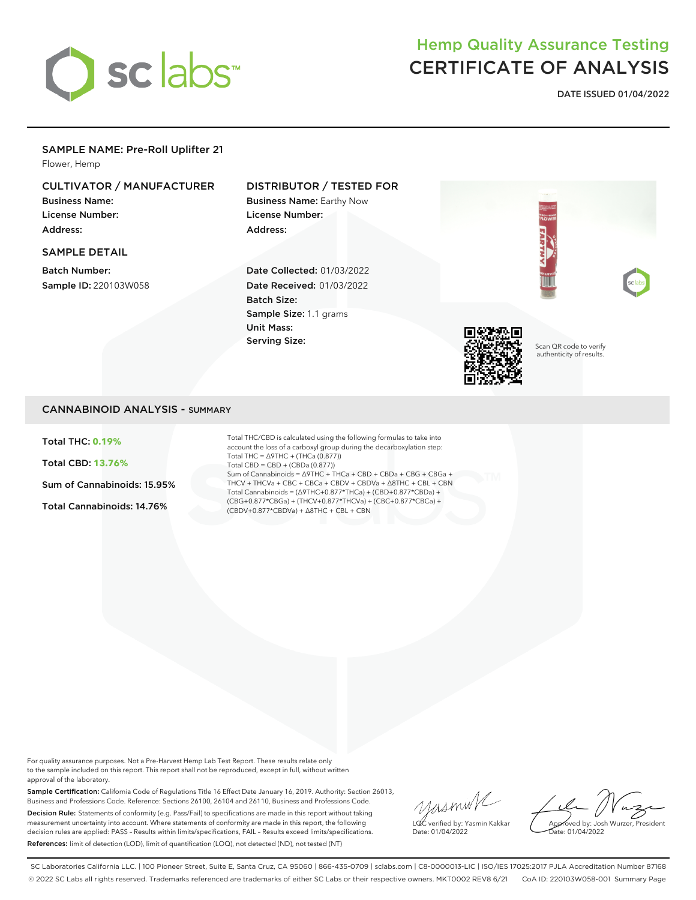

# Hemp Quality Assurance Testing CERTIFICATE OF ANALYSIS

**DATE ISSUED 01/04/2022**

### SAMPLE NAME: Pre-Roll Uplifter 21

Flower, Hemp

# CULTIVATOR / MANUFACTURER

Business Name: License Number: Address:

### SAMPLE DETAIL

Batch Number: Sample ID: 220103W058

## DISTRIBUTOR / TESTED FOR

Business Name: Earthy Now License Number: Address:

Date Collected: 01/03/2022 Date Received: 01/03/2022 Batch Size: Sample Size: 1.1 grams Unit Mass: Serving Size:



Scan QR code to verify authenticity of results.

### CANNABINOID ANALYSIS - SUMMARY

Total THC: **0.19%**

Total CBD: **13.76%**

Sum of Cannabinoids: 15.95%

Total Cannabinoids: 14.76%

Total THC/CBD is calculated using the following formulas to take into account the loss of a carboxyl group during the decarboxylation step: Total THC = ∆9THC + (THCa (0.877)) Total CBD = CBD + (CBDa (0.877)) Sum of Cannabinoids = ∆9THC + THCa + CBD + CBDa + CBG + CBGa + THCV + THCVa + CBC + CBCa + CBDV + CBDVa + ∆8THC + CBL + CBN Total Cannabinoids = (∆9THC+0.877\*THCa) + (CBD+0.877\*CBDa) + (CBG+0.877\*CBGa) + (THCV+0.877\*THCVa) + (CBC+0.877\*CBCa) + (CBDV+0.877\*CBDVa) + ∆8THC + CBL + CBN

For quality assurance purposes. Not a Pre-Harvest Hemp Lab Test Report. These results relate only to the sample included on this report. This report shall not be reproduced, except in full, without written approval of the laboratory.

Sample Certification: California Code of Regulations Title 16 Effect Date January 16, 2019. Authority: Section 26013, Business and Professions Code. Reference: Sections 26100, 26104 and 26110, Business and Professions Code. Decision Rule: Statements of conformity (e.g. Pass/Fail) to specifications are made in this report without taking measurement uncertainty into account. Where statements of conformity are made in this report, the following decision rules are applied: PASS – Results within limits/specifications, FAIL – Results exceed limits/specifications. References: limit of detection (LOD), limit of quantification (LOQ), not detected (ND), not tested (NT)

yusmink LQC verified by: Yasmin Kakkar Date: 01/04/2022

Approved by: Josh Wurzer, President Date: 01/04/2022

SC Laboratories California LLC. | 100 Pioneer Street, Suite E, Santa Cruz, CA 95060 | 866-435-0709 | sclabs.com | C8-0000013-LIC | ISO/IES 17025:2017 PJLA Accreditation Number 87168 © 2022 SC Labs all rights reserved. Trademarks referenced are trademarks of either SC Labs or their respective owners. MKT0002 REV8 6/21 CoA ID: 220103W058-001 Summary Page